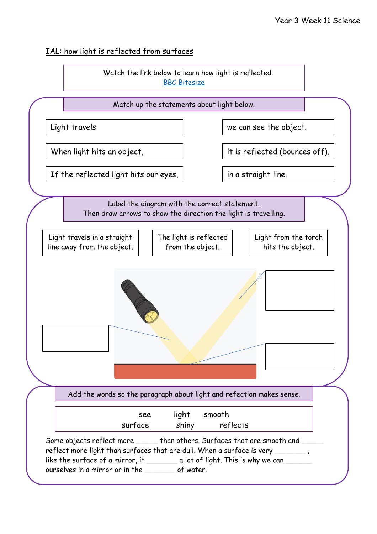## IAL: how light is reflected from surfaces

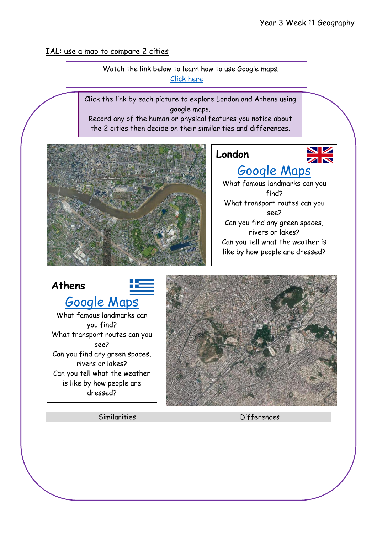IAL: use a map to compare 2 cities

 Watch the link below to learn how to use Google maps. [Click here](https://www.youtube.com/watch?v=N6DrfYHVcXs)

Click the link by each picture to explore London and Athens using google maps.

Record any of the human or physical features you notice about the 2 cities then decide on their similarities and differences.



## **London**



## [Google Maps](https://www.google.co.uk/maps/place/London/@51.5287714,-0.2420241,11z/data=!3m1!4b1!4m5!3m4!1s0x47d8a00baf21de75:0x52963a5addd52a99!8m2!3d51.5073509!4d-0.1277583)

What famous landmarks can you find? What transport routes can you see? Can you find any green spaces, rivers or lakes? Can you tell what the weather is like by how people are dressed?





| Similarities | Differences |  |
|--------------|-------------|--|
|              |             |  |
|              |             |  |
|              |             |  |
|              |             |  |
|              |             |  |
|              |             |  |